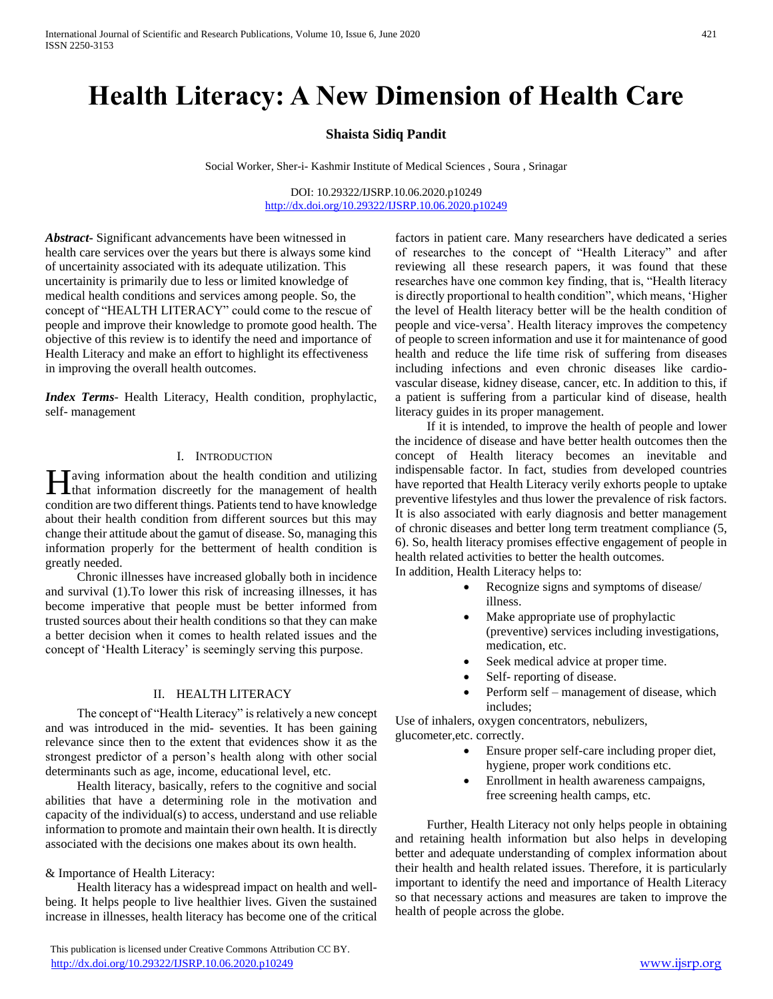# **Health Literacy: A New Dimension of Health Care**

## **Shaista Sidiq Pandit**

Social Worker, Sher-i- Kashmir Institute of Medical Sciences , Soura , Srinagar

DOI: 10.29322/IJSRP.10.06.2020.p10249 <http://dx.doi.org/10.29322/IJSRP.10.06.2020.p10249>

*Abstract***-** Significant advancements have been witnessed in health care services over the years but there is always some kind of uncertainity associated with its adequate utilization. This uncertainity is primarily due to less or limited knowledge of medical health conditions and services among people. So, the concept of "HEALTH LITERACY" could come to the rescue of people and improve their knowledge to promote good health. The objective of this review is to identify the need and importance of Health Literacy and make an effort to highlight its effectiveness in improving the overall health outcomes.

*Index Terms*- Health Literacy, Health condition, prophylactic, self- management

#### I. INTRODUCTION

**T** aving information about the health condition and utilizing Having information about the health condition and utilizing<br>that information discreetly for the management of health condition are two different things. Patients tend to have knowledge about their health condition from different sources but this may change their attitude about the gamut of disease. So, managing this information properly for the betterment of health condition is greatly needed.

 Chronic illnesses have increased globally both in incidence and survival (1).To lower this risk of increasing illnesses, it has become imperative that people must be better informed from trusted sources about their health conditions so that they can make a better decision when it comes to health related issues and the concept of 'Health Literacy' is seemingly serving this purpose.

## II. HEALTH LITERACY

 The concept of "Health Literacy" is relatively a new concept and was introduced in the mid- seventies. It has been gaining relevance since then to the extent that evidences show it as the strongest predictor of a person's health along with other social determinants such as age, income, educational level, etc.

 Health literacy, basically, refers to the cognitive and social abilities that have a determining role in the motivation and capacity of the individual(s) to access, understand and use reliable information to promote and maintain their own health. It is directly associated with the decisions one makes about its own health.

#### & Importance of Health Literacy:

 Health literacy has a widespread impact on health and wellbeing. It helps people to live healthier lives. Given the sustained increase in illnesses, health literacy has become one of the critical

 This publication is licensed under Creative Commons Attribution CC BY. <http://dx.doi.org/10.29322/IJSRP.10.06.2020.p10249> [www.ijsrp.org](http://ijsrp.org/)

factors in patient care. Many researchers have dedicated a series of researches to the concept of "Health Literacy" and after reviewing all these research papers, it was found that these researches have one common key finding, that is, "Health literacy is directly proportional to health condition", which means, 'Higher the level of Health literacy better will be the health condition of people and vice-versa'. Health literacy improves the competency of people to screen information and use it for maintenance of good health and reduce the life time risk of suffering from diseases including infections and even chronic diseases like cardiovascular disease, kidney disease, cancer, etc. In addition to this, if a patient is suffering from a particular kind of disease, health literacy guides in its proper management.

 If it is intended, to improve the health of people and lower the incidence of disease and have better health outcomes then the concept of Health literacy becomes an inevitable and indispensable factor. In fact, studies from developed countries have reported that Health Literacy verily exhorts people to uptake preventive lifestyles and thus lower the prevalence of risk factors. It is also associated with early diagnosis and better management of chronic diseases and better long term treatment compliance (5, 6). So, health literacy promises effective engagement of people in health related activities to better the health outcomes.

In addition, Health Literacy helps to:

- Recognize signs and symptoms of disease/ illness.
- Make appropriate use of prophylactic (preventive) services including investigations, medication, etc.
- Seek medical advice at proper time.
- Self- reporting of disease.
- Perform self management of disease, which includes;

Use of inhalers, oxygen concentrators, nebulizers, glucometer,etc. correctly.

- Ensure proper self-care including proper diet, hygiene, proper work conditions etc.
- Enrollment in health awareness campaigns, free screening health camps, etc.

 Further, Health Literacy not only helps people in obtaining and retaining health information but also helps in developing better and adequate understanding of complex information about their health and health related issues. Therefore, it is particularly important to identify the need and importance of Health Literacy so that necessary actions and measures are taken to improve the health of people across the globe.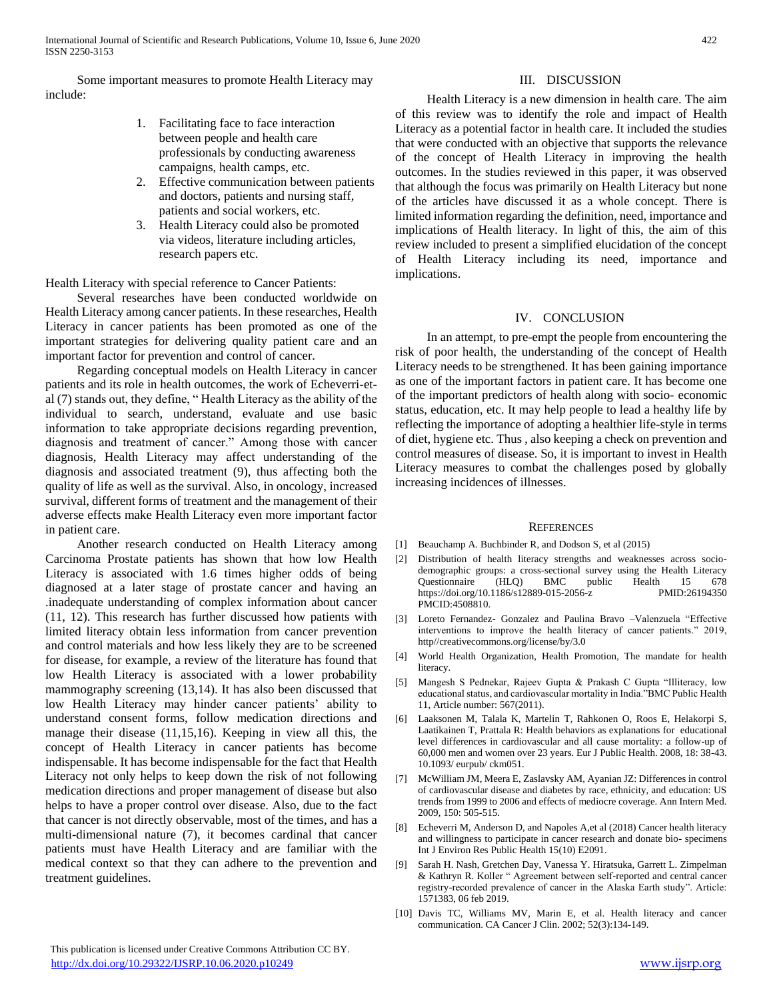Some important measures to promote Health Literacy may include:

- 1. Facilitating face to face interaction between people and health care professionals by conducting awareness campaigns, health camps, etc.
- 2. Effective communication between patients and doctors, patients and nursing staff, patients and social workers, etc.
- 3. Health Literacy could also be promoted via videos, literature including articles, research papers etc.

Health Literacy with special reference to Cancer Patients:

 Several researches have been conducted worldwide on Health Literacy among cancer patients. In these researches, Health Literacy in cancer patients has been promoted as one of the important strategies for delivering quality patient care and an important factor for prevention and control of cancer.

 Regarding conceptual models on Health Literacy in cancer patients and its role in health outcomes, the work of Echeverri-etal (7) stands out, they define, " Health Literacy as the ability of the individual to search, understand, evaluate and use basic information to take appropriate decisions regarding prevention, diagnosis and treatment of cancer." Among those with cancer diagnosis, Health Literacy may affect understanding of the diagnosis and associated treatment (9), thus affecting both the quality of life as well as the survival. Also, in oncology, increased survival, different forms of treatment and the management of their adverse effects make Health Literacy even more important factor in patient care.

 Another research conducted on Health Literacy among Carcinoma Prostate patients has shown that how low Health Literacy is associated with 1.6 times higher odds of being diagnosed at a later stage of prostate cancer and having an .inadequate understanding of complex information about cancer (11, 12). This research has further discussed how patients with limited literacy obtain less information from cancer prevention and control materials and how less likely they are to be screened for disease, for example, a review of the literature has found that low Health Literacy is associated with a lower probability mammography screening (13,14). It has also been discussed that low Health Literacy may hinder cancer patients' ability to understand consent forms, follow medication directions and manage their disease (11,15,16). Keeping in view all this, the concept of Health Literacy in cancer patients has become indispensable. It has become indispensable for the fact that Health Literacy not only helps to keep down the risk of not following medication directions and proper management of disease but also helps to have a proper control over disease. Also, due to the fact that cancer is not directly observable, most of the times, and has a multi-dimensional nature (7), it becomes cardinal that cancer patients must have Health Literacy and are familiar with the medical context so that they can adhere to the prevention and treatment guidelines.

## III. DISCUSSION

 Health Literacy is a new dimension in health care. The aim of this review was to identify the role and impact of Health Literacy as a potential factor in health care. It included the studies that were conducted with an objective that supports the relevance of the concept of Health Literacy in improving the health outcomes. In the studies reviewed in this paper, it was observed that although the focus was primarily on Health Literacy but none of the articles have discussed it as a whole concept. There is limited information regarding the definition, need, importance and implications of Health literacy. In light of this, the aim of this review included to present a simplified elucidation of the concept of Health Literacy including its need, importance and implications.

### IV. CONCLUSION

 In an attempt, to pre-empt the people from encountering the risk of poor health, the understanding of the concept of Health Literacy needs to be strengthened. It has been gaining importance as one of the important factors in patient care. It has become one of the important predictors of health along with socio- economic status, education, etc. It may help people to lead a healthy life by reflecting the importance of adopting a healthier life-style in terms of diet, hygiene etc. Thus , also keeping a check on prevention and control measures of disease. So, it is important to invest in Health Literacy measures to combat the challenges posed by globally increasing incidences of illnesses.

#### **REFERENCES**

- [1] Beauchamp A. Buchbinder R, and Dodson S, et al (2015)
- [2] Distribution of health literacy strengths and weaknesses across sociodemographic groups: a cross-sectional survey using the Health Literacy Questionnaire (HLQ) BMC public Health 15 678 https://doi.org/10.1186/s12889-015-2056-z PMID:26194350 PMCID:4508810.
- [3] Loreto Fernandez- Gonzalez and Paulina Bravo –Valenzuela "Effective interventions to improve the health literacy of cancer patients." 2019, http//creativecommons.org/license/by/3.0
- [4] World Health Organization, Health Promotion, The mandate for health literacy.
- [5] Mangesh S Pednekar, Rajeev Gupta & Prakash C Gupta "Illiteracy, low educational status, and cardiovascular mortality in India."BMC Public Health 11, Article number: 567(2011).
- [6] Laaksonen M, Talala K, Martelin T, Rahkonen O, Roos E, Helakorpi S, Laatikainen T, Prattala R: Health behaviors as explanations for educational level differences in cardiovascular and all cause mortality: a follow-up of 60,000 men and women over 23 years. Eur J Public Health. 2008, 18: 38-43. 10.1093/ eurpub/ ckm051.
- [7] McWilliam JM, Meera E, Zaslavsky AM, Ayanian JZ: Differences in control of cardiovascular disease and diabetes by race, ethnicity, and education: US trends from 1999 to 2006 and effects of mediocre coverage. Ann Intern Med. 2009, 150: 505-515.
- [8] Echeverri M, Anderson D, and Napoles A,et al (2018) Cancer health literacy and willingness to participate in cancer research and donate bio- specimens Int J Environ Res Public Health 15(10) E2091.
- [9] Sarah H. Nash, Gretchen Day, Vanessa Y. Hiratsuka, Garrett L. Zimpelman & Kathryn R. Koller " Agreement between self-reported and central cancer registry-recorded prevalence of cancer in the Alaska Earth study". Article: 1571383, 06 feb 2019.
- [10] Davis TC, Williams MV, Marin E, et al. Health literacy and cancer communication. CA Cancer J Clin. 2002; 52(3):134-149.